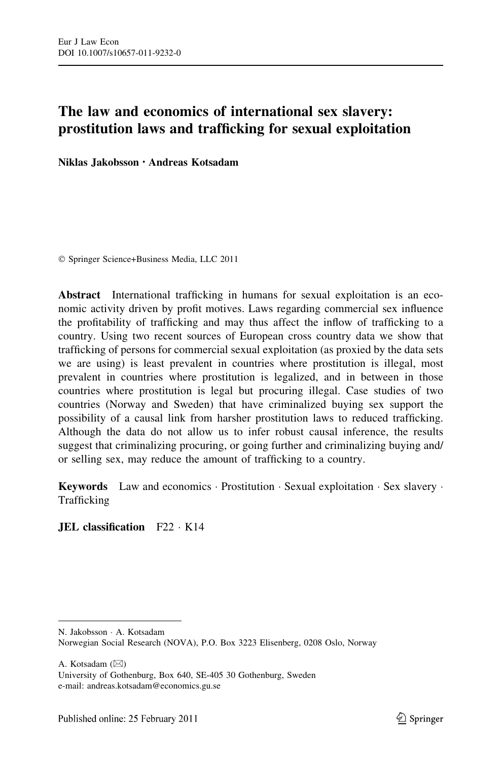# The law and economics of international sex slavery: prostitution laws and trafficking for sexual exploitation

Niklas Jakobsson • Andreas Kotsadam

- Springer Science+Business Media, LLC 2011

Abstract International trafficking in humans for sexual exploitation is an economic activity driven by profit motives. Laws regarding commercial sex influence the profitability of trafficking and may thus affect the inflow of trafficking to a country. Using two recent sources of European cross country data we show that trafficking of persons for commercial sexual exploitation (as proxied by the data sets we are using) is least prevalent in countries where prostitution is illegal, most prevalent in countries where prostitution is legalized, and in between in those countries where prostitution is legal but procuring illegal. Case studies of two countries (Norway and Sweden) that have criminalized buying sex support the possibility of a causal link from harsher prostitution laws to reduced trafficking. Although the data do not allow us to infer robust causal inference, the results suggest that criminalizing procuring, or going further and criminalizing buying and/ or selling sex, may reduce the amount of trafficking to a country.

**Keywords** Law and economics  $\cdot$  Prostitution  $\cdot$  Sexual exploitation  $\cdot$  Sex slavery  $\cdot$ Trafficking

JEL classification F22 - K14

A. Kotsadam  $(\boxtimes)$ 

N. Jakobsson - A. Kotsadam Norwegian Social Research (NOVA), P.O. Box 3223 Elisenberg, 0208 Oslo, Norway

University of Gothenburg, Box 640, SE-405 30 Gothenburg, Sweden e-mail: andreas.kotsadam@economics.gu.se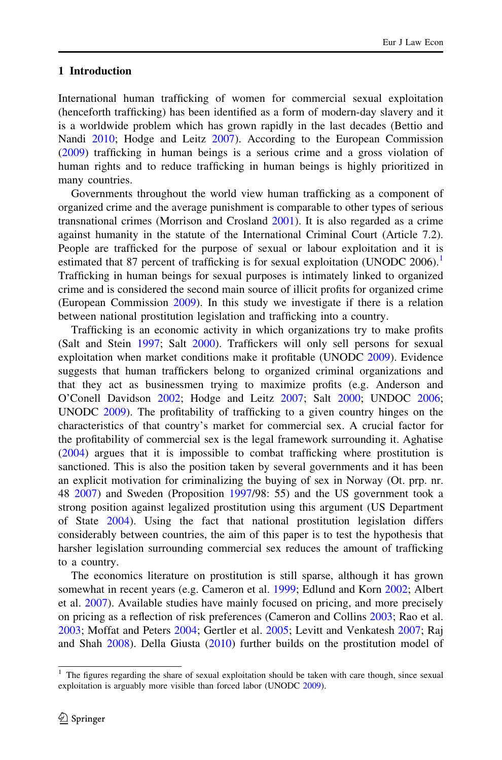## 1 Introduction

International human trafficking of women for commercial sexual exploitation (henceforth trafficking) has been identified as a form of modern-day slavery and it is a worldwide problem which has grown rapidly in the last decades (Bettio and Nandi [2010;](#page-18-0) Hodge and Leitz [2007\)](#page-19-0). According to the European Commission [\(2009](#page-19-0)) trafficking in human beings is a serious crime and a gross violation of human rights and to reduce trafficking in human beings is highly prioritized in many countries.

Governments throughout the world view human trafficking as a component of organized crime and the average punishment is comparable to other types of serious transnational crimes (Morrison and Crosland [2001](#page-19-0)). It is also regarded as a crime against humanity in the statute of the International Criminal Court (Article 7.2). People are trafficked for the purpose of sexual or labour exploitation and it is estimated that 87 percent of trafficking is for sexual exploitation (UNODC 2006).<sup>1</sup> Trafficking in human beings for sexual purposes is intimately linked to organized crime and is considered the second main source of illicit profits for organized crime (European Commission [2009\)](#page-19-0). In this study we investigate if there is a relation between national prostitution legislation and trafficking into a country.

Trafficking is an economic activity in which organizations try to make profits (Salt and Stein [1997](#page-20-0); Salt [2000](#page-20-0)). Traffickers will only sell persons for sexual exploitation when market conditions make it profitable (UNODC [2009\)](#page-20-0). Evidence suggests that human traffickers belong to organized criminal organizations and that they act as businessmen trying to maximize profits (e.g. Anderson and O'Conell Davidson [2002](#page-18-0); Hodge and Leitz [2007;](#page-19-0) Salt [2000;](#page-20-0) UNDOC [2006;](#page-20-0) UNODC [2009](#page-20-0)). The profitability of trafficking to a given country hinges on the characteristics of that country's market for commercial sex. A crucial factor for the profitability of commercial sex is the legal framework surrounding it. Aghatise [\(2004](#page-18-0)) argues that it is impossible to combat trafficking where prostitution is sanctioned. This is also the position taken by several governments and it has been an explicit motivation for criminalizing the buying of sex in Norway (Ot. prp. nr. 48 [2007](#page-19-0)) and Sweden (Proposition [1997/](#page-20-0)98: 55) and the US government took a strong position against legalized prostitution using this argument (US Department of State [2004](#page-20-0)). Using the fact that national prostitution legislation differs considerably between countries, the aim of this paper is to test the hypothesis that harsher legislation surrounding commercial sex reduces the amount of trafficking to a country.

The economics literature on prostitution is still sparse, although it has grown somewhat in recent years (e.g. Cameron et al. [1999](#page-18-0); Edlund and Korn [2002](#page-19-0); Albert et al. [2007](#page-18-0)). Available studies have mainly focused on pricing, and more precisely on pricing as a reflection of risk preferences (Cameron and Collins [2003;](#page-18-0) Rao et al. [2003;](#page-20-0) Moffat and Peters [2004;](#page-19-0) Gertler et al. [2005;](#page-19-0) Levitt and Venkatesh [2007;](#page-19-0) Raj and Shah [2008\)](#page-20-0). Della Giusta ([2010\)](#page-19-0) further builds on the prostitution model of

<sup>&</sup>lt;sup>1</sup> The figures regarding the share of sexual exploitation should be taken with care though, since sexual exploitation is arguably more visible than forced labor (UNODC [2009](#page-20-0)).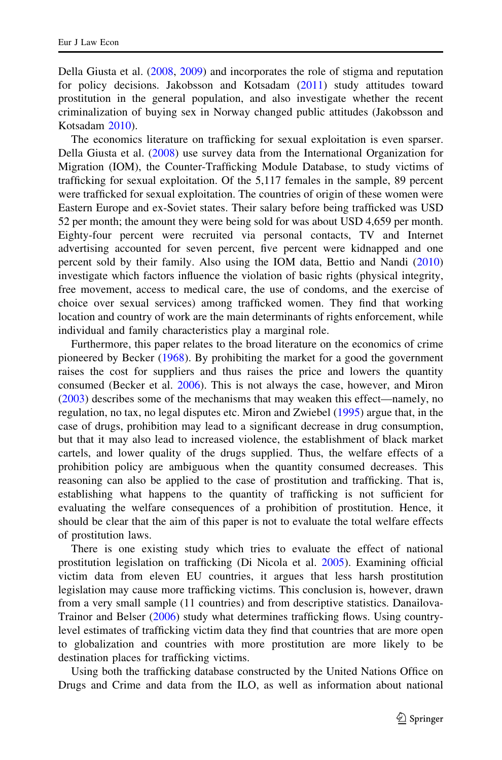Della Giusta et al. ([2008,](#page-19-0) [2009\)](#page-19-0) and incorporates the role of stigma and reputation for policy decisions. Jakobsson and Kotsadam [\(2011](#page-19-0)) study attitudes toward prostitution in the general population, and also investigate whether the recent criminalization of buying sex in Norway changed public attitudes (Jakobsson and Kotsadam [2010\)](#page-19-0).

The economics literature on trafficking for sexual exploitation is even sparser. Della Giusta et al. [\(2008](#page-19-0)) use survey data from the International Organization for Migration (IOM), the Counter-Trafficking Module Database, to study victims of trafficking for sexual exploitation. Of the 5,117 females in the sample, 89 percent were trafficked for sexual exploitation. The countries of origin of these women were Eastern Europe and ex-Soviet states. Their salary before being trafficked was USD 52 per month; the amount they were being sold for was about USD 4,659 per month. Eighty-four percent were recruited via personal contacts, TV and Internet advertising accounted for seven percent, five percent were kidnapped and one percent sold by their family. Also using the IOM data, Bettio and Nandi [\(2010](#page-18-0)) investigate which factors influence the violation of basic rights (physical integrity, free movement, access to medical care, the use of condoms, and the exercise of choice over sexual services) among trafficked women. They find that working location and country of work are the main determinants of rights enforcement, while individual and family characteristics play a marginal role.

Furthermore, this paper relates to the broad literature on the economics of crime pioneered by Becker ([1968\)](#page-18-0). By prohibiting the market for a good the government raises the cost for suppliers and thus raises the price and lowers the quantity consumed (Becker et al. [2006](#page-18-0)). This is not always the case, however, and Miron [\(2003](#page-19-0)) describes some of the mechanisms that may weaken this effect—namely, no regulation, no tax, no legal disputes etc. Miron and Zwiebel [\(1995](#page-19-0)) argue that, in the case of drugs, prohibition may lead to a significant decrease in drug consumption, but that it may also lead to increased violence, the establishment of black market cartels, and lower quality of the drugs supplied. Thus, the welfare effects of a prohibition policy are ambiguous when the quantity consumed decreases. This reasoning can also be applied to the case of prostitution and trafficking. That is, establishing what happens to the quantity of trafficking is not sufficient for evaluating the welfare consequences of a prohibition of prostitution. Hence, it should be clear that the aim of this paper is not to evaluate the total welfare effects of prostitution laws.

There is one existing study which tries to evaluate the effect of national prostitution legislation on trafficking (Di Nicola et al. [2005\)](#page-19-0). Examining official victim data from eleven EU countries, it argues that less harsh prostitution legislation may cause more trafficking victims. This conclusion is, however, drawn from a very small sample (11 countries) and from descriptive statistics. Danailova-Trainor and Belser [\(2006](#page-18-0)) study what determines trafficking flows. Using countrylevel estimates of trafficking victim data they find that countries that are more open to globalization and countries with more prostitution are more likely to be destination places for trafficking victims.

Using both the trafficking database constructed by the United Nations Office on Drugs and Crime and data from the ILO, as well as information about national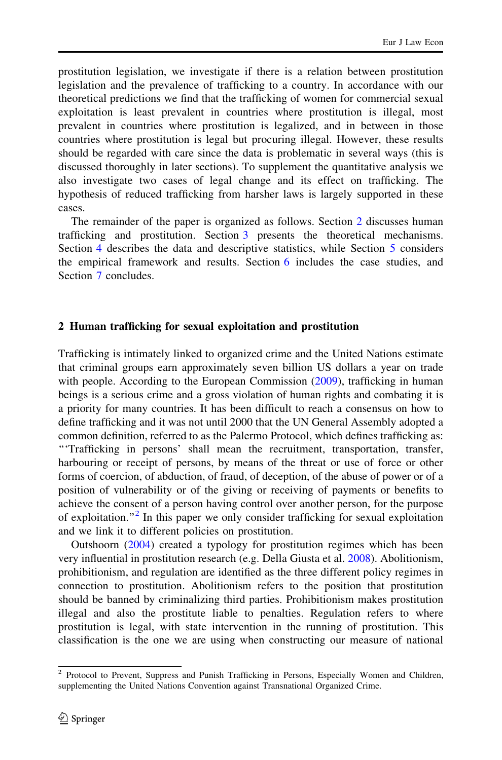prostitution legislation, we investigate if there is a relation between prostitution legislation and the prevalence of trafficking to a country. In accordance with our theoretical predictions we find that the trafficking of women for commercial sexual exploitation is least prevalent in countries where prostitution is illegal, most prevalent in countries where prostitution is legalized, and in between in those countries where prostitution is legal but procuring illegal. However, these results should be regarded with care since the data is problematic in several ways (this is discussed thoroughly in later sections). To supplement the quantitative analysis we also investigate two cases of legal change and its effect on trafficking. The hypothesis of reduced trafficking from harsher laws is largely supported in these cases.

The remainder of the paper is organized as follows. Section 2 discusses human trafficking and prostitution. Section [3](#page-4-0) presents the theoretical mechanisms. Section [4](#page-6-0) describes the data and descriptive statistics, while Section [5](#page-9-0) considers the empirical framework and results. Section [6](#page-12-0) includes the case studies, and Section [7](#page-15-0) concludes.

### 2 Human trafficking for sexual exploitation and prostitution

Trafficking is intimately linked to organized crime and the United Nations estimate that criminal groups earn approximately seven billion US dollars a year on trade with people. According to the European Commission ([2009\)](#page-19-0), trafficking in human beings is a serious crime and a gross violation of human rights and combating it is a priority for many countries. It has been difficult to reach a consensus on how to define trafficking and it was not until 2000 that the UN General Assembly adopted a common definition, referred to as the Palermo Protocol, which defines trafficking as: '''Trafficking in persons' shall mean the recruitment, transportation, transfer, harbouring or receipt of persons, by means of the threat or use of force or other forms of coercion, of abduction, of fraud, of deception, of the abuse of power or of a position of vulnerability or of the giving or receiving of payments or benefits to achieve the consent of a person having control over another person, for the purpose of exploitation."<sup>2</sup> In this paper we only consider trafficking for sexual exploitation and we link it to different policies on prostitution.

Outshoorn ([2004\)](#page-19-0) created a typology for prostitution regimes which has been very influential in prostitution research (e.g. Della Giusta et al. [2008\)](#page-19-0). Abolitionism, prohibitionism, and regulation are identified as the three different policy regimes in connection to prostitution. Abolitionism refers to the position that prostitution should be banned by criminalizing third parties. Prohibitionism makes prostitution illegal and also the prostitute liable to penalties. Regulation refers to where prostitution is legal, with state intervention in the running of prostitution. This classification is the one we are using when constructing our measure of national

<sup>&</sup>lt;sup>2</sup> Protocol to Prevent, Suppress and Punish Trafficking in Persons, Especially Women and Children, supplementing the United Nations Convention against Transnational Organized Crime.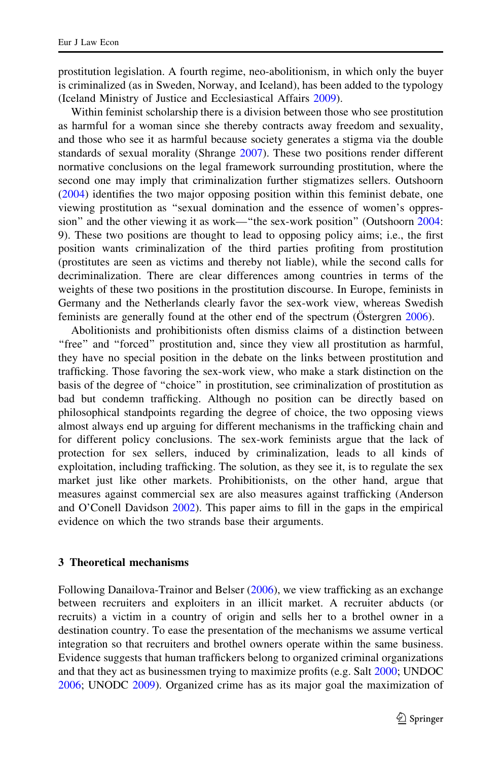<span id="page-4-0"></span>prostitution legislation. A fourth regime, neo-abolitionism, in which only the buyer is criminalized (as in Sweden, Norway, and Iceland), has been added to the typology (Iceland Ministry of Justice and Ecclesiastical Affairs [2009\)](#page-19-0).

Within feminist scholarship there is a division between those who see prostitution as harmful for a woman since she thereby contracts away freedom and sexuality, and those who see it as harmful because society generates a stigma via the double standards of sexual morality (Shrange [2007](#page-20-0)). These two positions render different normative conclusions on the legal framework surrounding prostitution, where the second one may imply that criminalization further stigmatizes sellers. Outshoorn [\(2004](#page-19-0)) identifies the two major opposing position within this feminist debate, one viewing prostitution as ''sexual domination and the essence of women's oppression'' and the other viewing it as work—''the sex-work position'' (Outshoorn [2004:](#page-19-0) 9). These two positions are thought to lead to opposing policy aims; i.e., the first position wants criminalization of the third parties profiting from prostitution (prostitutes are seen as victims and thereby not liable), while the second calls for decriminalization. There are clear differences among countries in terms of the weights of these two positions in the prostitution discourse. In Europe, feminists in Germany and the Netherlands clearly favor the sex-work view, whereas Swedish feminists are generally found at the other end of the spectrum ( $O$ stergren [2006](#page-19-0)).

Abolitionists and prohibitionists often dismiss claims of a distinction between "free" and "forced" prostitution and, since they view all prostitution as harmful, they have no special position in the debate on the links between prostitution and trafficking. Those favoring the sex-work view, who make a stark distinction on the basis of the degree of ''choice'' in prostitution, see criminalization of prostitution as bad but condemn trafficking. Although no position can be directly based on philosophical standpoints regarding the degree of choice, the two opposing views almost always end up arguing for different mechanisms in the trafficking chain and for different policy conclusions. The sex-work feminists argue that the lack of protection for sex sellers, induced by criminalization, leads to all kinds of exploitation, including trafficking. The solution, as they see it, is to regulate the sex market just like other markets. Prohibitionists, on the other hand, argue that measures against commercial sex are also measures against trafficking (Anderson and O'Conell Davidson [2002](#page-18-0)). This paper aims to fill in the gaps in the empirical evidence on which the two strands base their arguments.

## 3 Theoretical mechanisms

Following Danailova-Trainor and Belser ([2006\)](#page-18-0), we view trafficking as an exchange between recruiters and exploiters in an illicit market. A recruiter abducts (or recruits) a victim in a country of origin and sells her to a brothel owner in a destination country. To ease the presentation of the mechanisms we assume vertical integration so that recruiters and brothel owners operate within the same business. Evidence suggests that human traffickers belong to organized criminal organizations and that they act as businessmen trying to maximize profits (e.g. Salt [2000;](#page-20-0) UNDOC [2006;](#page-20-0) UNODC [2009](#page-20-0)). Organized crime has as its major goal the maximization of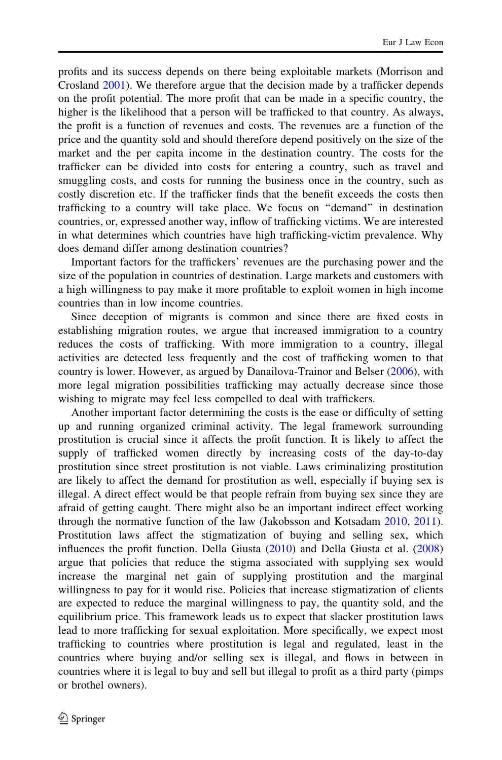profits and its success depends on there being exploitable markets (Morrison and Crosland [2001](#page-19-0)). We therefore argue that the decision made by a trafficker depends on the profit potential. The more profit that can be made in a specific country, the higher is the likelihood that a person will be trafficked to that country. As always, the profit is a function of revenues and costs. The revenues are a function of the price and the quantity sold and should therefore depend positively on the size of the market and the per capita income in the destination country. The costs for the trafficker can be divided into costs for entering a country, such as travel and smuggling costs, and costs for running the business once in the country, such as costly discretion etc. If the trafficker finds that the benefit exceeds the costs then trafficking to a country will take place. We focus on ''demand'' in destination countries, or, expressed another way, inflow of trafficking victims. We are interested in what determines which countries have high trafficking-victim prevalence. Why does demand differ among destination countries?

Important factors for the traffickers' revenues are the purchasing power and the size of the population in countries of destination. Large markets and customers with a high willingness to pay make it more profitable to exploit women in high income countries than in low income countries.

Since deception of migrants is common and since there are fixed costs in establishing migration routes, we argue that increased immigration to a country reduces the costs of trafficking. With more immigration to a country, illegal activities are detected less frequently and the cost of trafficking women to that country is lower. However, as argued by Danailova-Trainor and Belser [\(2006](#page-18-0)), with more legal migration possibilities trafficking may actually decrease since those wishing to migrate may feel less compelled to deal with traffickers.

Another important factor determining the costs is the ease or difficulty of setting up and running organized criminal activity. The legal framework surrounding prostitution is crucial since it affects the profit function. It is likely to affect the supply of trafficked women directly by increasing costs of the day-to-day prostitution since street prostitution is not viable. Laws criminalizing prostitution are likely to affect the demand for prostitution as well, especially if buying sex is illegal. A direct effect would be that people refrain from buying sex since they are afraid of getting caught. There might also be an important indirect effect working through the normative function of the law (Jakobsson and Kotsadam [2010,](#page-19-0) [2011\)](#page-19-0). Prostitution laws affect the stigmatization of buying and selling sex, which influences the profit function. Della Giusta ([2010\)](#page-19-0) and Della Giusta et al. [\(2008](#page-19-0)) argue that policies that reduce the stigma associated with supplying sex would increase the marginal net gain of supplying prostitution and the marginal willingness to pay for it would rise. Policies that increase stigmatization of clients are expected to reduce the marginal willingness to pay, the quantity sold, and the equilibrium price. This framework leads us to expect that slacker prostitution laws lead to more trafficking for sexual exploitation. More specifically, we expect most trafficking to countries where prostitution is legal and regulated, least in the countries where buying and/or selling sex is illegal, and flows in between in countries where it is legal to buy and sell but illegal to profit as a third party (pimps or brothel owners).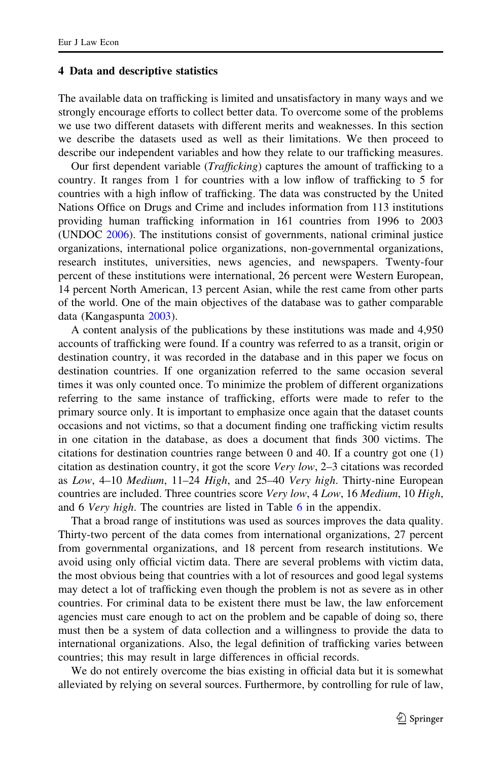#### <span id="page-6-0"></span>4 Data and descriptive statistics

The available data on trafficking is limited and unsatisfactory in many ways and we strongly encourage efforts to collect better data. To overcome some of the problems we use two different datasets with different merits and weaknesses. In this section we describe the datasets used as well as their limitations. We then proceed to describe our independent variables and how they relate to our trafficking measures.

Our first dependent variable (Trafficking) captures the amount of trafficking to a country. It ranges from 1 for countries with a low inflow of trafficking to 5 for countries with a high inflow of trafficking. The data was constructed by the United Nations Office on Drugs and Crime and includes information from 113 institutions providing human trafficking information in 161 countries from 1996 to 2003 (UNDOC [2006](#page-20-0)). The institutions consist of governments, national criminal justice organizations, international police organizations, non-governmental organizations, research institutes, universities, news agencies, and newspapers. Twenty-four percent of these institutions were international, 26 percent were Western European, 14 percent North American, 13 percent Asian, while the rest came from other parts of the world. One of the main objectives of the database was to gather comparable data (Kangaspunta [2003\)](#page-19-0).

A content analysis of the publications by these institutions was made and 4,950 accounts of trafficking were found. If a country was referred to as a transit, origin or destination country, it was recorded in the database and in this paper we focus on destination countries. If one organization referred to the same occasion several times it was only counted once. To minimize the problem of different organizations referring to the same instance of trafficking, efforts were made to refer to the primary source only. It is important to emphasize once again that the dataset counts occasions and not victims, so that a document finding one trafficking victim results in one citation in the database, as does a document that finds 300 victims. The citations for destination countries range between 0 and 40. If a country got one (1) citation as destination country, it got the score Very low, 2–3 citations was recorded as Low, 4–10 Medium, 11–24 High, and 25–40 Very high. Thirty-nine European countries are included. Three countries score Very low, 4 Low, 16 Medium, 10 High, and [6](#page-16-0) Very high. The countries are listed in Table 6 in the appendix.

That a broad range of institutions was used as sources improves the data quality. Thirty-two percent of the data comes from international organizations, 27 percent from governmental organizations, and 18 percent from research institutions. We avoid using only official victim data. There are several problems with victim data, the most obvious being that countries with a lot of resources and good legal systems may detect a lot of trafficking even though the problem is not as severe as in other countries. For criminal data to be existent there must be law, the law enforcement agencies must care enough to act on the problem and be capable of doing so, there must then be a system of data collection and a willingness to provide the data to international organizations. Also, the legal definition of trafficking varies between countries; this may result in large differences in official records.

We do not entirely overcome the bias existing in official data but it is somewhat alleviated by relying on several sources. Furthermore, by controlling for rule of law,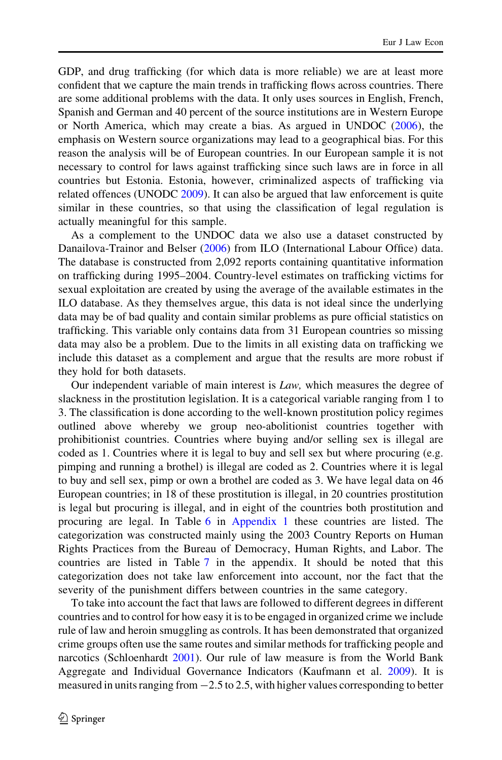GDP, and drug trafficking (for which data is more reliable) we are at least more confident that we capture the main trends in trafficking flows across countries. There are some additional problems with the data. It only uses sources in English, French, Spanish and German and 40 percent of the source institutions are in Western Europe or North America, which may create a bias. As argued in UNDOC ([2006\)](#page-20-0), the emphasis on Western source organizations may lead to a geographical bias. For this reason the analysis will be of European countries. In our European sample it is not necessary to control for laws against trafficking since such laws are in force in all countries but Estonia. Estonia, however, criminalized aspects of trafficking via related offences (UNODC [2009](#page-20-0)). It can also be argued that law enforcement is quite similar in these countries, so that using the classification of legal regulation is actually meaningful for this sample.

As a complement to the UNDOC data we also use a dataset constructed by Danailova-Trainor and Belser ([2006\)](#page-18-0) from ILO (International Labour Office) data. The database is constructed from 2,092 reports containing quantitative information on trafficking during 1995–2004. Country-level estimates on trafficking victims for sexual exploitation are created by using the average of the available estimates in the ILO database. As they themselves argue, this data is not ideal since the underlying data may be of bad quality and contain similar problems as pure official statistics on trafficking. This variable only contains data from 31 European countries so missing data may also be a problem. Due to the limits in all existing data on trafficking we include this dataset as a complement and argue that the results are more robust if they hold for both datasets.

Our independent variable of main interest is  $Law$ , which measures the degree of slackness in the prostitution legislation. It is a categorical variable ranging from 1 to 3. The classification is done according to the well-known prostitution policy regimes outlined above whereby we group neo-abolitionist countries together with prohibitionist countries. Countries where buying and/or selling sex is illegal are coded as 1. Countries where it is legal to buy and sell sex but where procuring (e.g. pimping and running a brothel) is illegal are coded as 2. Countries where it is legal to buy and sell sex, pimp or own a brothel are coded as 3. We have legal data on 46 European countries; in 18 of these prostitution is illegal, in 20 countries prostitution is legal but procuring is illegal, and in eight of the countries both prostitution and procuring are legal. In Table [6](#page-16-0) in [Appendix 1](#page-16-0) these countries are listed. The categorization was constructed mainly using the 2003 Country Reports on Human Rights Practices from the Bureau of Democracy, Human Rights, and Labor. The countries are listed in Table [7](#page-17-0) in the appendix. It should be noted that this categorization does not take law enforcement into account, nor the fact that the severity of the punishment differs between countries in the same category.

To take into account the fact that laws are followed to different degrees in different countries and to control for how easy it is to be engaged in organized crime we include rule of law and heroin smuggling as controls. It has been demonstrated that organized crime groups often use the same routes and similar methods for trafficking people and narcotics (Schloenhardt [2001](#page-20-0)). Our rule of law measure is from the World Bank Aggregate and Individual Governance Indicators (Kaufmann et al. [2009\)](#page-19-0). It is measured in units ranging from  $-2.5$  to 2.5, with higher values corresponding to better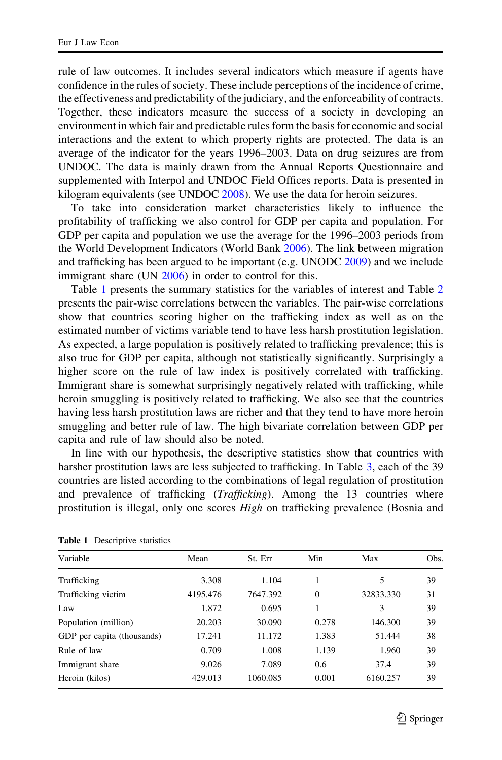rule of law outcomes. It includes several indicators which measure if agents have confidence in the rules of society. These include perceptions of the incidence of crime, the effectiveness and predictability of the judiciary, and the enforceability of contracts. Together, these indicators measure the success of a society in developing an environment in which fair and predictable rules form the basis for economic and social interactions and the extent to which property rights are protected. The data is an average of the indicator for the years 1996–2003. Data on drug seizures are from UNDOC. The data is mainly drawn from the Annual Reports Questionnaire and supplemented with Interpol and UNDOC Field Offices reports. Data is presented in kilogram equivalents (see UNDOC [2008](#page-20-0)). We use the data for heroin seizures.

To take into consideration market characteristics likely to influence the profitability of trafficking we also control for GDP per capita and population. For GDP per capita and population we use the average for the 1996–2003 periods from the World Development Indicators (World Bank [2006](#page-20-0)). The link between migration and trafficking has been argued to be important (e.g. UNODC [2009\)](#page-20-0) and we include immigrant share (UN [2006\)](#page-20-0) in order to control for this.

Table 1 presents the summary statistics for the variables of interest and Table [2](#page-9-0) presents the pair-wise correlations between the variables. The pair-wise correlations show that countries scoring higher on the trafficking index as well as on the estimated number of victims variable tend to have less harsh prostitution legislation. As expected, a large population is positively related to trafficking prevalence; this is also true for GDP per capita, although not statistically significantly. Surprisingly a higher score on the rule of law index is positively correlated with trafficking. Immigrant share is somewhat surprisingly negatively related with trafficking, while heroin smuggling is positively related to trafficking. We also see that the countries having less harsh prostitution laws are richer and that they tend to have more heroin smuggling and better rule of law. The high bivariate correlation between GDP per capita and rule of law should also be noted.

In line with our hypothesis, the descriptive statistics show that countries with harsher prostitution laws are less subjected to trafficking. In Table [3,](#page-9-0) each of the 39 countries are listed according to the combinations of legal regulation of prostitution and prevalence of trafficking *(Trafficking)*. Among the 13 countries where prostitution is illegal, only one scores High on trafficking prevalence (Bosnia and

| Variable                   | Mean     | St. Err  | Min           | Max       | Obs. |
|----------------------------|----------|----------|---------------|-----------|------|
| Trafficking                | 3.308    | 1.104    | 1             | 5         | 39   |
| Trafficking victim         | 4195.476 | 7647.392 | $\mathbf{0}$  | 32833.330 | 31   |
| Law                        | 1.872    | 0.695    | 1             | 3         | 39   |
| Population (million)       | 20.203   | 30.090   | 0.278         | 146.300   | 39   |
| GDP per capita (thousands) | 17.241   | 11.172   | 1.383         | 51.444    | 38   |
| Rule of law                | 0.709    | 1.008    | $-1.139$      | 1.960     | 39   |
| Immigrant share            | 9.026    | 7.089    | $0.6^{\circ}$ | 37.4      | 39   |
| Heroin (kilos)             | 429.013  | 1060.085 | 0.001         | 6160.257  | 39   |

|  | <b>Table 1</b> Descriptive statistics |  |
|--|---------------------------------------|--|
|--|---------------------------------------|--|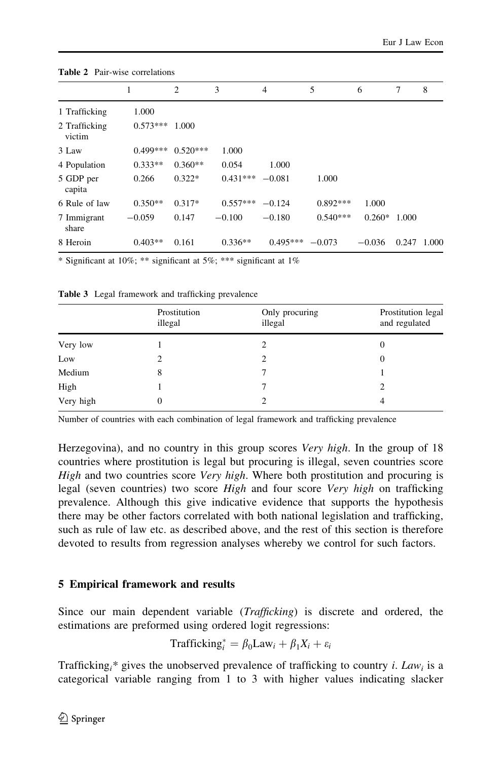|                         |            | 2          | 3          | 4          | 5          | 6        | 7     | 8     |
|-------------------------|------------|------------|------------|------------|------------|----------|-------|-------|
| 1 Trafficking           | 1.000      |            |            |            |            |          |       |       |
| 2 Trafficking<br>victim | $0.573***$ | 1.000      |            |            |            |          |       |       |
| 3 Law                   | $0.499***$ | $0.520***$ | 1.000      |            |            |          |       |       |
| 4 Population            | $0.333**$  | $0.360**$  | 0.054      | 1.000      |            |          |       |       |
| 5 GDP per<br>capita     | 0.266      | $0.322*$   | $0.431***$ | $-0.081$   | 1.000      |          |       |       |
| 6 Rule of law           | $0.350**$  | $0.317*$   | $0.557***$ | $-0.124$   | $0.892***$ | 1.000    |       |       |
| 7 Immigrant<br>share    | $-0.059$   | 0.147      | $-0.100$   | $-0.180$   | $0.540***$ | $0.260*$ | 1.000 |       |
| 8 Heroin                | $0.403**$  | 0.161      | $0.336**$  | $0.495***$ | $-0.073$   | $-0.036$ | 0.247 | 1.000 |

<span id="page-9-0"></span>Table 2 Pair-wise correlations

\* Significant at 10%; \*\* significant at 5%; \*\*\* significant at 1%

| Prostitution<br>illegal | Only procuring<br>illegal | Prostitution legal<br>and regulated |
|-------------------------|---------------------------|-------------------------------------|
|                         | 2                         | 0                                   |
|                         | 2                         | 0                                   |
| 8                       |                           |                                     |
|                         |                           |                                     |
|                         |                           | 4                                   |
|                         |                           |                                     |

Table 3 Legal framework and trafficking prevalence

Number of countries with each combination of legal framework and trafficking prevalence

Herzegovina), and no country in this group scores Very high. In the group of 18 countries where prostitution is legal but procuring is illegal, seven countries score High and two countries score Very high. Where both prostitution and procuring is legal (seven countries) two score *High* and four score Very high on trafficking prevalence. Although this give indicative evidence that supports the hypothesis there may be other factors correlated with both national legislation and trafficking, such as rule of law etc. as described above, and the rest of this section is therefore devoted to results from regression analyses whereby we control for such factors.

# 5 Empirical framework and results

Since our main dependent variable (Trafficking) is discrete and ordered, the estimations are preformed using ordered logit regressions:

$$
Trafficking_i^* = \beta_0 Law_i + \beta_1 X_i + \varepsilon_i
$$

Trafficking<sub>i</sub>\* gives the unobserved prevalence of trafficking to country *i*. Law<sub>i</sub> is a categorical variable ranging from 1 to 3 with higher values indicating slacker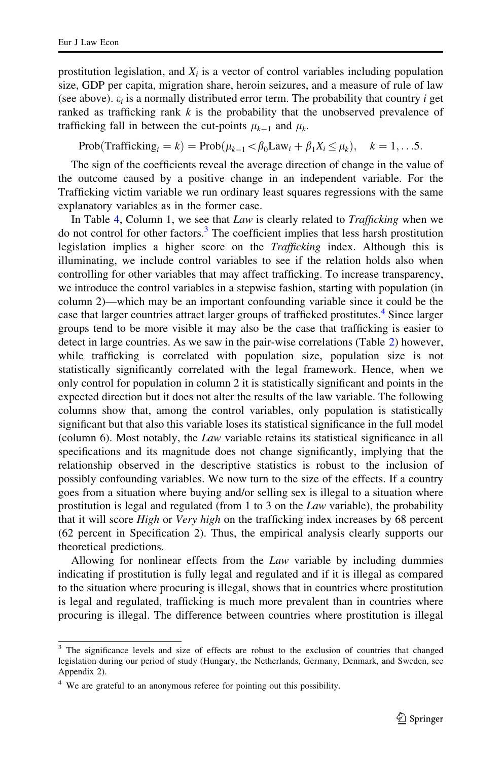prostitution legislation, and  $X_i$  is a vector of control variables including population size, GDP per capita, migration share, heroin seizures, and a measure of rule of law (see above).  $\varepsilon_i$  is a normally distributed error term. The probability that country i get ranked as trafficking rank  $k$  is the probability that the unobserved prevalence of trafficking fall in between the cut-points  $\mu_{k-1}$  and  $\mu_k$ .

$$
Prob(Trafficking_i = k) = Prob(\mu_{k-1} < \beta_0 Law_i + \beta_1 X_i \leq \mu_k), \quad k = 1, \ldots.5.
$$

The sign of the coefficients reveal the average direction of change in the value of the outcome caused by a positive change in an independent variable. For the Trafficking victim variable we run ordinary least squares regressions with the same explanatory variables as in the former case.

In Table [4,](#page-11-0) Column 1, we see that *Law* is clearly related to *Trafficking* when we do not control for other factors.<sup>3</sup> The coefficient implies that less harsh prostitution legislation implies a higher score on the Trafficking index. Although this is illuminating, we include control variables to see if the relation holds also when controlling for other variables that may affect trafficking. To increase transparency, we introduce the control variables in a stepwise fashion, starting with population (in column 2)—which may be an important confounding variable since it could be the case that larger countries attract larger groups of trafficked prostitutes.<sup>4</sup> Since larger groups tend to be more visible it may also be the case that trafficking is easier to detect in large countries. As we saw in the pair-wise correlations (Table [2\)](#page-9-0) however, while trafficking is correlated with population size, population size is not statistically significantly correlated with the legal framework. Hence, when we only control for population in column 2 it is statistically significant and points in the expected direction but it does not alter the results of the law variable. The following columns show that, among the control variables, only population is statistically significant but that also this variable loses its statistical significance in the full model (column 6). Most notably, the Law variable retains its statistical significance in all specifications and its magnitude does not change significantly, implying that the relationship observed in the descriptive statistics is robust to the inclusion of possibly confounding variables. We now turn to the size of the effects. If a country goes from a situation where buying and/or selling sex is illegal to a situation where prostitution is legal and regulated (from 1 to 3 on the Law variable), the probability that it will score *High* or *Very high* on the trafficking index increases by 68 percent (62 percent in Specification 2). Thus, the empirical analysis clearly supports our theoretical predictions.

Allowing for nonlinear effects from the Law variable by including dummies indicating if prostitution is fully legal and regulated and if it is illegal as compared to the situation where procuring is illegal, shows that in countries where prostitution is legal and regulated, trafficking is much more prevalent than in countries where procuring is illegal. The difference between countries where prostitution is illegal

<sup>&</sup>lt;sup>3</sup> The significance levels and size of effects are robust to the exclusion of countries that changed legislation during our period of study (Hungary, the Netherlands, Germany, Denmark, and Sweden, see Appendix 2).

<sup>&</sup>lt;sup>4</sup> We are grateful to an anonymous referee for pointing out this possibility.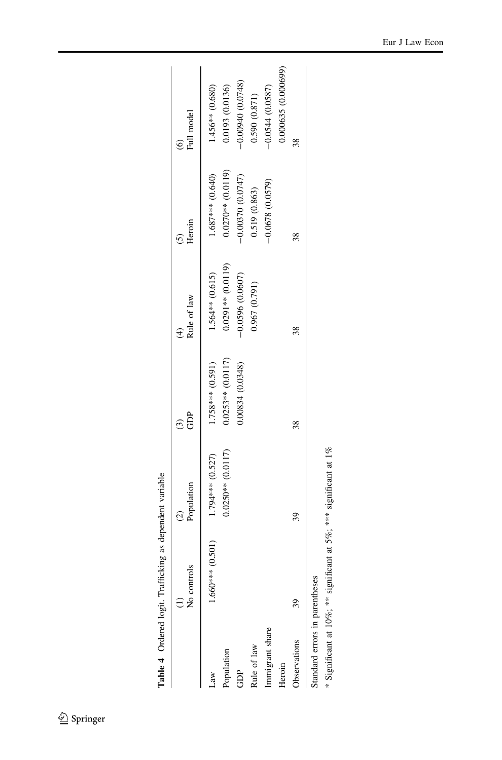<span id="page-11-0"></span>

| 0.000635 (0.000699)<br>$-0.00940(0.0748)$<br>$-0.0544(0.0587)$<br>0.0193 (0.0136)<br>$1.456**$ (0.680)<br>0.590(0.871)<br>38<br>$0.0270**$ (0.0119)<br>1.687*** (0.640)<br>$-0.00370(0.0747)$<br>$-0.0678(0.0579)$<br>0.519 (0.863)<br>38<br>$0.0291**$ (0.0119)<br>$1.564**$ (0.615)<br>$-0.0596$ (0.0607)<br>0.967(0.791)<br>38<br>$0.0253**$ (0.0117)<br>1.758*** (0.591)<br>0.00834 (0.0348)<br>38<br>$0.0250**$ (0.0117)<br>1.794*** (0.527)<br>39<br>$1.660***$ (0.501)<br>39<br>Immigrant share<br>Observations<br>Rule of law<br>Population<br>Heroin<br>GDP | Standard errors in parentheses | No controls | Population | GDP<br>$\odot$ | Rule of law<br>$\widehat{A}$ | Heroin | Full model<br>Ġ |
|----------------------------------------------------------------------------------------------------------------------------------------------------------------------------------------------------------------------------------------------------------------------------------------------------------------------------------------------------------------------------------------------------------------------------------------------------------------------------------------------------------------------------------------------------------------------|--------------------------------|-------------|------------|----------------|------------------------------|--------|-----------------|
|                                                                                                                                                                                                                                                                                                                                                                                                                                                                                                                                                                      |                                |             |            |                |                              |        |                 |
|                                                                                                                                                                                                                                                                                                                                                                                                                                                                                                                                                                      |                                |             |            |                |                              |        |                 |
|                                                                                                                                                                                                                                                                                                                                                                                                                                                                                                                                                                      |                                |             |            |                |                              |        |                 |
|                                                                                                                                                                                                                                                                                                                                                                                                                                                                                                                                                                      |                                |             |            |                |                              |        |                 |
|                                                                                                                                                                                                                                                                                                                                                                                                                                                                                                                                                                      |                                |             |            |                |                              |        |                 |
|                                                                                                                                                                                                                                                                                                                                                                                                                                                                                                                                                                      |                                |             |            |                |                              |        |                 |
|                                                                                                                                                                                                                                                                                                                                                                                                                                                                                                                                                                      |                                |             |            |                |                              |        |                 |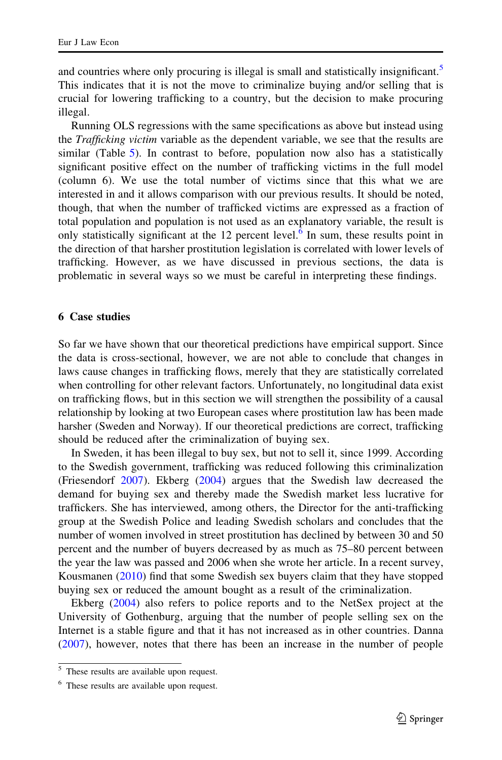<span id="page-12-0"></span>and countries where only procuring is illegal is small and statistically insignificant.<sup>5</sup> This indicates that it is not the move to criminalize buying and/or selling that is crucial for lowering trafficking to a country, but the decision to make procuring illegal.

Running OLS regressions with the same specifications as above but instead using the *Trafficking victim* variable as the dependent variable, we see that the results are similar (Table [5](#page-13-0)). In contrast to before, population now also has a statistically significant positive effect on the number of trafficking victims in the full model (column 6). We use the total number of victims since that this what we are interested in and it allows comparison with our previous results. It should be noted, though, that when the number of trafficked victims are expressed as a fraction of total population and population is not used as an explanatory variable, the result is only statistically significant at the 12 percent level.<sup>6</sup> In sum, these results point in the direction of that harsher prostitution legislation is correlated with lower levels of trafficking. However, as we have discussed in previous sections, the data is problematic in several ways so we must be careful in interpreting these findings.

## 6 Case studies

So far we have shown that our theoretical predictions have empirical support. Since the data is cross-sectional, however, we are not able to conclude that changes in laws cause changes in trafficking flows, merely that they are statistically correlated when controlling for other relevant factors. Unfortunately, no longitudinal data exist on trafficking flows, but in this section we will strengthen the possibility of a causal relationship by looking at two European cases where prostitution law has been made harsher (Sweden and Norway). If our theoretical predictions are correct, trafficking should be reduced after the criminalization of buying sex.

In Sweden, it has been illegal to buy sex, but not to sell it, since 1999. According to the Swedish government, trafficking was reduced following this criminalization (Friesendorf [2007\)](#page-19-0). Ekberg [\(2004](#page-19-0)) argues that the Swedish law decreased the demand for buying sex and thereby made the Swedish market less lucrative for traffickers. She has interviewed, among others, the Director for the anti-trafficking group at the Swedish Police and leading Swedish scholars and concludes that the number of women involved in street prostitution has declined by between 30 and 50 percent and the number of buyers decreased by as much as 75–80 percent between the year the law was passed and 2006 when she wrote her article. In a recent survey, Kousmanen ([2010\)](#page-19-0) find that some Swedish sex buyers claim that they have stopped buying sex or reduced the amount bought as a result of the criminalization.

Ekberg [\(2004](#page-19-0)) also refers to police reports and to the NetSex project at the University of Gothenburg, arguing that the number of people selling sex on the Internet is a stable figure and that it has not increased as in other countries. Danna [\(2007](#page-19-0)), however, notes that there has been an increase in the number of people

<sup>&</sup>lt;sup>5</sup> These results are available upon request.

<sup>&</sup>lt;sup>6</sup> These results are available upon request.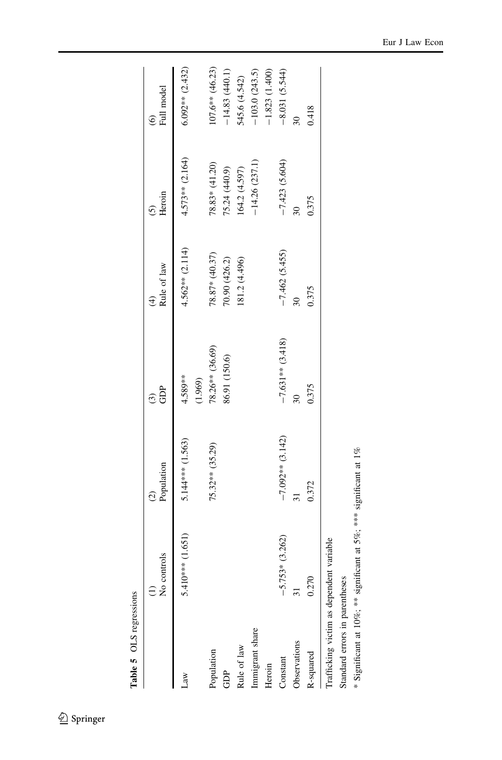<span id="page-13-0"></span>

| Table 5 OLS regressions        |                                          |                             |                    |                              |                                   |                          |
|--------------------------------|------------------------------------------|-----------------------------|--------------------|------------------------------|-----------------------------------|--------------------------|
|                                | No controls                              | Population<br>$\widehat{c}$ | GDP<br>$\odot$     | Rule of law<br>$\widehat{d}$ | Heroin<br>$\widehat{\mathcal{O}}$ | Full model<br>$\odot$    |
| AW <sub>1</sub>                | $5.410***$ (1.651)                       | 5.144*** (1.563)            | 4.589**<br>(1.969) | $4.562**$ (2.114)            | $4.573**$ (2.164)                 | $6.092** (2.432)$        |
| Population                     |                                          | 75.32** (35.29)             | 78.26** (36.69)    | 78.87* (40.37)               | 78.83* (41.20)                    | $107.6**$ (46.23)        |
| GDP                            |                                          |                             | 86.91 (150.6)      | 70.90 (426.2)                | 75.24 (440.9)                     | $-14.83(440.1)$          |
| Rule of law                    |                                          |                             |                    | 181.2 (4.496)                | 164.2 (4.597)                     | 545.6 (4.542)            |
| Immigrant share                |                                          |                             |                    |                              | $-14.26(237.1)$                   | $-103.0(243.5)$          |
| Heroin                         |                                          |                             |                    |                              |                                   | $-1.823(1.400)$          |
| Constant                       | $-5.753*$ (3.262)                        | $-7.092**$ (3.142)          | $-7.631**$ (3.418) | $-7.462(5.455)$              | $-7.423(5.604)$                   | $-8.031(5.544)$          |
| Observations                   |                                          |                             | $\overline{30}$    |                              | $\overline{30}$                   | $\overline{\mathbf{30}}$ |
| R-squared                      | 0.270                                    | 0.372                       | 0.375              | 0.375                        | 0.375                             | 0.418                    |
|                                | Trafficking victim as dependent variable |                             |                    |                              |                                   |                          |
| Standard errors in parentheses |                                          |                             |                    |                              |                                   |                          |

\* Significant at 10%; \*\* significant at 5%; \*\*\* significant at 1%

\* Significant at 10%; \*\* significant at 5%; \*\*\* significant at 1%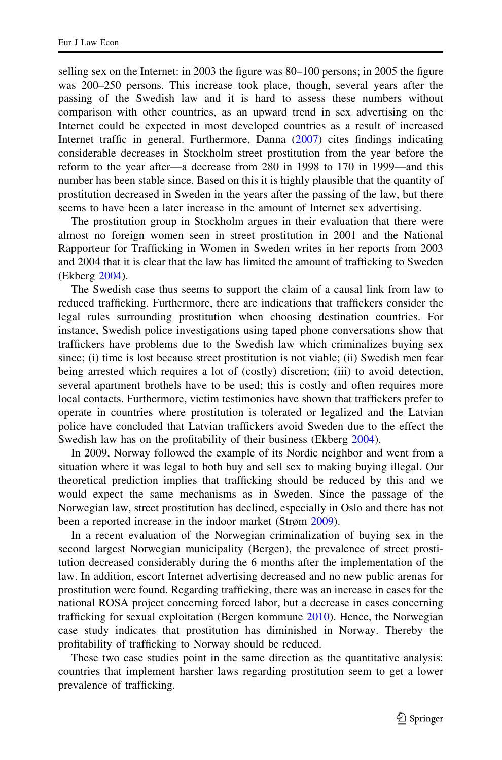selling sex on the Internet: in 2003 the figure was 80–100 persons; in 2005 the figure was 200–250 persons. This increase took place, though, several years after the passing of the Swedish law and it is hard to assess these numbers without comparison with other countries, as an upward trend in sex advertising on the Internet could be expected in most developed countries as a result of increased Internet traffic in general. Furthermore, Danna ([2007\)](#page-19-0) cites findings indicating considerable decreases in Stockholm street prostitution from the year before the reform to the year after—a decrease from 280 in 1998 to 170 in 1999—and this number has been stable since. Based on this it is highly plausible that the quantity of prostitution decreased in Sweden in the years after the passing of the law, but there seems to have been a later increase in the amount of Internet sex advertising.

The prostitution group in Stockholm argues in their evaluation that there were almost no foreign women seen in street prostitution in 2001 and the National Rapporteur for Trafficking in Women in Sweden writes in her reports from 2003 and 2004 that it is clear that the law has limited the amount of trafficking to Sweden (Ekberg [2004\)](#page-19-0).

The Swedish case thus seems to support the claim of a causal link from law to reduced trafficking. Furthermore, there are indications that traffickers consider the legal rules surrounding prostitution when choosing destination countries. For instance, Swedish police investigations using taped phone conversations show that traffickers have problems due to the Swedish law which criminalizes buying sex since; (i) time is lost because street prostitution is not viable; (ii) Swedish men fear being arrested which requires a lot of (costly) discretion; (iii) to avoid detection, several apartment brothels have to be used; this is costly and often requires more local contacts. Furthermore, victim testimonies have shown that traffickers prefer to operate in countries where prostitution is tolerated or legalized and the Latvian police have concluded that Latvian traffickers avoid Sweden due to the effect the Swedish law has on the profitability of their business (Ekberg [2004](#page-19-0)).

In 2009, Norway followed the example of its Nordic neighbor and went from a situation where it was legal to both buy and sell sex to making buying illegal. Our theoretical prediction implies that trafficking should be reduced by this and we would expect the same mechanisms as in Sweden. Since the passage of the Norwegian law, street prostitution has declined, especially in Oslo and there has not been a reported increase in the indoor market (Strøm [2009](#page-20-0)).

In a recent evaluation of the Norwegian criminalization of buying sex in the second largest Norwegian municipality (Bergen), the prevalence of street prostitution decreased considerably during the 6 months after the implementation of the law. In addition, escort Internet advertising decreased and no new public arenas for prostitution were found. Regarding trafficking, there was an increase in cases for the national ROSA project concerning forced labor, but a decrease in cases concerning trafficking for sexual exploitation (Bergen kommune [2010\)](#page-18-0). Hence, the Norwegian case study indicates that prostitution has diminished in Norway. Thereby the profitability of trafficking to Norway should be reduced.

These two case studies point in the same direction as the quantitative analysis: countries that implement harsher laws regarding prostitution seem to get a lower prevalence of trafficking.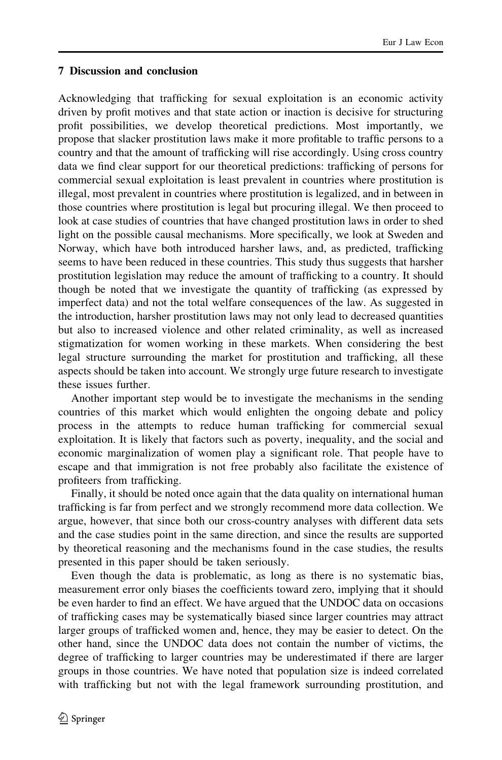# <span id="page-15-0"></span>7 Discussion and conclusion

Acknowledging that trafficking for sexual exploitation is an economic activity driven by profit motives and that state action or inaction is decisive for structuring profit possibilities, we develop theoretical predictions. Most importantly, we propose that slacker prostitution laws make it more profitable to traffic persons to a country and that the amount of trafficking will rise accordingly. Using cross country data we find clear support for our theoretical predictions: trafficking of persons for commercial sexual exploitation is least prevalent in countries where prostitution is illegal, most prevalent in countries where prostitution is legalized, and in between in those countries where prostitution is legal but procuring illegal. We then proceed to look at case studies of countries that have changed prostitution laws in order to shed light on the possible causal mechanisms. More specifically, we look at Sweden and Norway, which have both introduced harsher laws, and, as predicted, trafficking seems to have been reduced in these countries. This study thus suggests that harsher prostitution legislation may reduce the amount of trafficking to a country. It should though be noted that we investigate the quantity of trafficking (as expressed by imperfect data) and not the total welfare consequences of the law. As suggested in the introduction, harsher prostitution laws may not only lead to decreased quantities but also to increased violence and other related criminality, as well as increased stigmatization for women working in these markets. When considering the best legal structure surrounding the market for prostitution and trafficking, all these aspects should be taken into account. We strongly urge future research to investigate these issues further.

Another important step would be to investigate the mechanisms in the sending countries of this market which would enlighten the ongoing debate and policy process in the attempts to reduce human trafficking for commercial sexual exploitation. It is likely that factors such as poverty, inequality, and the social and economic marginalization of women play a significant role. That people have to escape and that immigration is not free probably also facilitate the existence of profiteers from trafficking.

Finally, it should be noted once again that the data quality on international human trafficking is far from perfect and we strongly recommend more data collection. We argue, however, that since both our cross-country analyses with different data sets and the case studies point in the same direction, and since the results are supported by theoretical reasoning and the mechanisms found in the case studies, the results presented in this paper should be taken seriously.

Even though the data is problematic, as long as there is no systematic bias, measurement error only biases the coefficients toward zero, implying that it should be even harder to find an effect. We have argued that the UNDOC data on occasions of trafficking cases may be systematically biased since larger countries may attract larger groups of trafficked women and, hence, they may be easier to detect. On the other hand, since the UNDOC data does not contain the number of victims, the degree of trafficking to larger countries may be underestimated if there are larger groups in those countries. We have noted that population size is indeed correlated with trafficking but not with the legal framework surrounding prostitution, and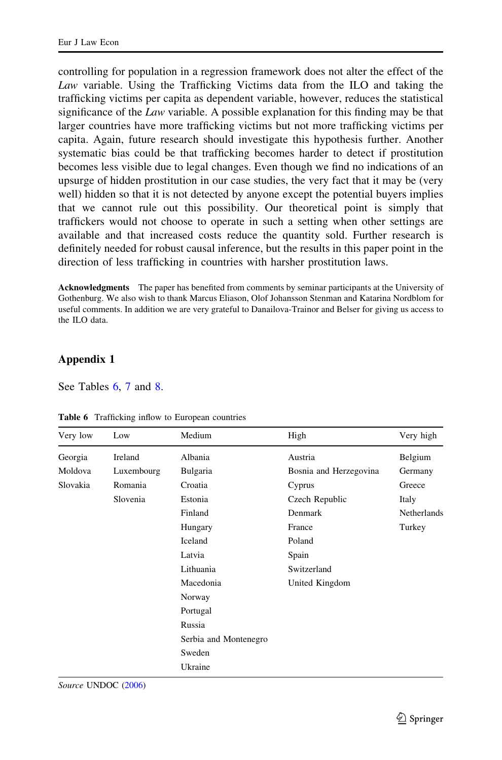<span id="page-16-0"></span>controlling for population in a regression framework does not alter the effect of the Law variable. Using the Trafficking Victims data from the ILO and taking the trafficking victims per capita as dependent variable, however, reduces the statistical significance of the Law variable. A possible explanation for this finding may be that larger countries have more trafficking victims but not more trafficking victims per capita. Again, future research should investigate this hypothesis further. Another systematic bias could be that trafficking becomes harder to detect if prostitution becomes less visible due to legal changes. Even though we find no indications of an upsurge of hidden prostitution in our case studies, the very fact that it may be (very well) hidden so that it is not detected by anyone except the potential buyers implies that we cannot rule out this possibility. Our theoretical point is simply that traffickers would not choose to operate in such a setting when other settings are available and that increased costs reduce the quantity sold. Further research is definitely needed for robust causal inference, but the results in this paper point in the direction of less trafficking in countries with harsher prostitution laws.

Acknowledgments The paper has benefited from comments by seminar participants at the University of Gothenburg. We also wish to thank Marcus Eliason, Olof Johansson Stenman and Katarina Nordblom for useful comments. In addition we are very grateful to Danailova-Trainor and Belser for giving us access to the ILO data.

# Appendix 1

See Tables 6, [7](#page-17-0) and [8.](#page-17-0)

| Very low | Low        | Medium                | High                   | Very high   |
|----------|------------|-----------------------|------------------------|-------------|
| Georgia  | Ireland    | Albania               | Austria                | Belgium     |
| Moldova  | Luxembourg | Bulgaria              | Bosnia and Herzegovina | Germany     |
| Slovakia | Romania    | Croatia               | Cyprus                 | Greece      |
|          | Slovenia   | Estonia               | Czech Republic         | Italy       |
|          |            | Finland               | Denmark                | Netherlands |
|          |            | Hungary               | France                 | Turkey      |
|          |            | Iceland               | Poland                 |             |
|          |            | Latvia                | Spain                  |             |
|          |            | Lithuania             | Switzerland            |             |
|          |            | Macedonia             | United Kingdom         |             |
|          |            | Norway                |                        |             |
|          |            | Portugal              |                        |             |
|          |            | Russia                |                        |             |
|          |            | Serbia and Montenegro |                        |             |
|          |            | Sweden                |                        |             |
|          |            | Ukraine               |                        |             |

Table 6 Trafficking inflow to European countries

Source UNDOC [\(2006](#page-20-0))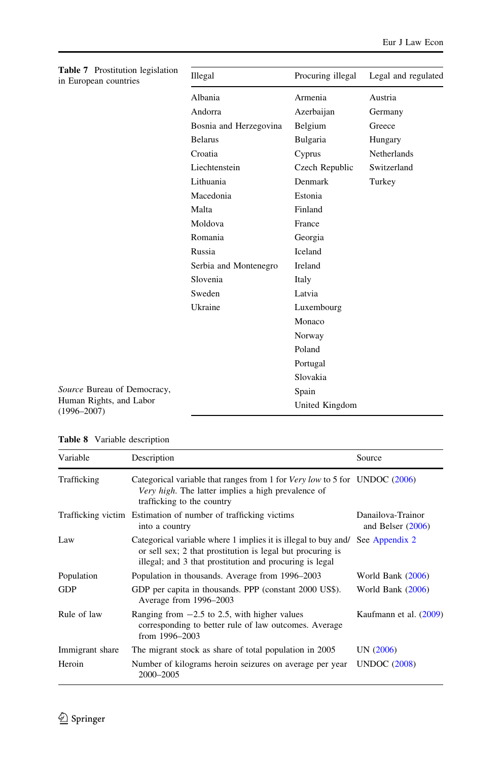<span id="page-17-0"></span>

| Table 7 Prostitution legislation<br>in European countries | Illegal                | Procuring illegal | Legal and regulated |
|-----------------------------------------------------------|------------------------|-------------------|---------------------|
|                                                           | Albania                | Armenia           | Austria             |
|                                                           | Andorra                | Azerbaijan        | Germany             |
|                                                           | Bosnia and Herzegovina | Belgium           | Greece              |
|                                                           | <b>Belarus</b>         | Bulgaria          | Hungary             |
|                                                           | Croatia                | Cyprus            | Netherlands         |
|                                                           | Liechtenstein          | Czech Republic    | Switzerland         |
|                                                           | Lithuania              | Denmark           | Turkey              |
|                                                           | Macedonia              | Estonia           |                     |
|                                                           | Malta                  | Finland           |                     |
|                                                           | Moldova                | France            |                     |
|                                                           | Romania                | Georgia           |                     |
|                                                           | Russia                 | Iceland           |                     |
|                                                           | Serbia and Montenegro  | Ireland           |                     |
|                                                           | Slovenia               | Italy             |                     |
|                                                           | Sweden                 | Latvia            |                     |
|                                                           | Ukraine                | Luxembourg        |                     |
|                                                           |                        | Monaco            |                     |
|                                                           |                        | Norway            |                     |
|                                                           |                        | Poland            |                     |
|                                                           |                        | Portugal          |                     |
|                                                           |                        | Slovakia          |                     |
| Source Bureau of Democracy,                               |                        | Spain             |                     |
| Human Rights, and Labor<br>$(1996 - 2007)$                |                        | United Kingdom    |                     |

|  |  |  | Table 8 Variable description |
|--|--|--|------------------------------|
|--|--|--|------------------------------|

| Variable        | Description                                                                                                                                                                             | Source                                   |
|-----------------|-----------------------------------------------------------------------------------------------------------------------------------------------------------------------------------------|------------------------------------------|
| Trafficking     | Categorical variable that ranges from 1 for <i>Very low</i> to 5 for UNDOC (2006)<br>Very high. The latter implies a high prevalence of<br>trafficking to the country                   |                                          |
|                 | Trafficking victim Estimation of number of trafficking victims<br>into a country                                                                                                        | Danailova-Trainor<br>and Belser $(2006)$ |
| Law             | Categorical variable where 1 implies it is illegal to buy and/<br>or sell sex; 2 that prostitution is legal but procuring is<br>illegal; and 3 that prostitution and procuring is legal | See Appendix 2                           |
| Population      | Population in thousands. Average from 1996–2003                                                                                                                                         | World Bank $(2006)$                      |
| <b>GDP</b>      | GDP per capita in thousands. PPP (constant 2000 US\$).<br>Average from 1996–2003                                                                                                        | World Bank $(2006)$                      |
| Rule of law     | Ranging from $-2.5$ to 2.5, with higher values<br>corresponding to better rule of law outcomes. Average<br>from 1996-2003                                                               | Kaufmann et al. (2009)                   |
| Immigrant share | The migrant stock as share of total population in 2005                                                                                                                                  | UN (2006)                                |
| Heroin          | Number of kilograms heroin seizures on average per year<br>2000-2005                                                                                                                    | <b>UNDOC</b> (2008)                      |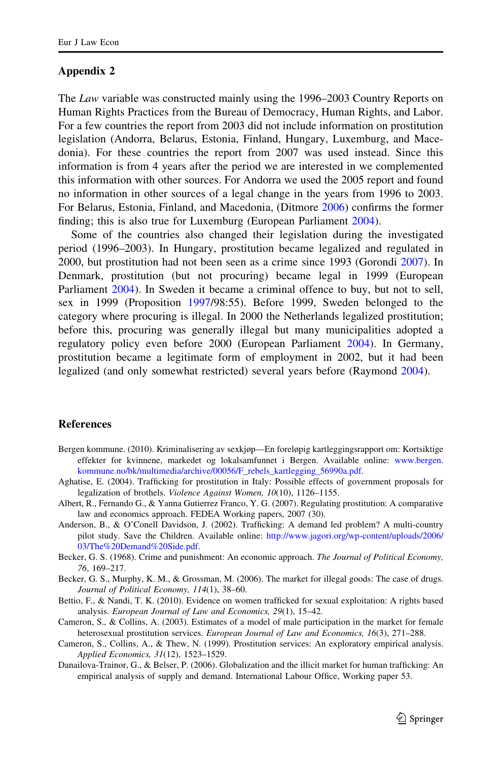### <span id="page-18-0"></span>Appendix 2

The Law variable was constructed mainly using the 1996–2003 Country Reports on Human Rights Practices from the Bureau of Democracy, Human Rights, and Labor. For a few countries the report from 2003 did not include information on prostitution legislation (Andorra, Belarus, Estonia, Finland, Hungary, Luxemburg, and Macedonia). For these countries the report from 2007 was used instead. Since this information is from 4 years after the period we are interested in we complemented this information with other sources. For Andorra we used the 2005 report and found no information in other sources of a legal change in the years from 1996 to 2003. For Belarus, Estonia, Finland, and Macedonia, (Ditmore [2006\)](#page-19-0) confirms the former finding; this is also true for Luxemburg (European Parliament [2004](#page-19-0)).

Some of the countries also changed their legislation during the investigated period (1996–2003). In Hungary, prostitution became legalized and regulated in 2000, but prostitution had not been seen as a crime since 1993 (Gorondi [2007\)](#page-19-0). In Denmark, prostitution (but not procuring) became legal in 1999 (European Parliament [2004\)](#page-19-0). In Sweden it became a criminal offence to buy, but not to sell, sex in 1999 (Proposition [1997](#page-20-0)/98:55). Before 1999, Sweden belonged to the category where procuring is illegal. In 2000 the Netherlands legalized prostitution; before this, procuring was generally illegal but many municipalities adopted a regulatory policy even before 2000 (European Parliament [2004\)](#page-19-0). In Germany, prostitution became a legitimate form of employment in 2002, but it had been legalized (and only somewhat restricted) several years before (Raymond [2004](#page-20-0)).

#### **References**

- Bergen kommune. (2010). Kriminalisering av sexkjøp—En foreløpig kartleggingsrapport om: Kortsiktige effekter for kvinnene, markedet og lokalsamfunnet i Bergen. Available online: [www.bergen.](http://www.bergen.kommune.no/bk/multimedia/archive/00056/F_rebels_kartlegging_56990a.pdf) [kommune.no/bk/multimedia/archive/00056/F\\_rebels\\_kartlegging\\_56990a.pdf](http://www.bergen.kommune.no/bk/multimedia/archive/00056/F_rebels_kartlegging_56990a.pdf).
- Aghatise, E. (2004). Trafficking for prostitution in Italy: Possible effects of government proposals for legalization of brothels. Violence Against Women, 10(10), 1126–1155.
- Albert, R., Fernando G., & Yanna Gutierrez Franco, Y. G. (2007). Regulating prostitution: A comparative law and economics approach. FEDEA Working papers, 2007 (30).
- Anderson, B., & O'Conell Davidson, J. (2002). Trafficking: A demand led problem? A multi-country pilot study. Save the Children. Available online: [http://www.jagori.org/wp-content/uploads/2006/](http://www.jagori.org/wp-content/uploads/2006/03/The%20Demand%20Side.pdf) [03/The%20Demand%20Side.pdf](http://www.jagori.org/wp-content/uploads/2006/03/The%20Demand%20Side.pdf).
- Becker, G. S. (1968). Crime and punishment: An economic approach. The Journal of Political Economy, 76, 169–217.
- Becker, G. S., Murphy, K. M., & Grossman, M. (2006). The market for illegal goods: The case of drugs. Journal of Political Economy, 114(1), 38–60.
- Bettio, F., & Nandi, T. K. (2010). Evidence on women trafficked for sexual exploitation: A rights based analysis. European Journal of Law and Economics, 29(1), 15–42.
- Cameron, S., & Collins, A. (2003). Estimates of a model of male participation in the market for female heterosexual prostitution services. European Journal of Law and Economics, 16(3), 271-288.
- Cameron, S., Collins, A., & Thew, N. (1999). Prostitution services: An exploratory empirical analysis. Applied Economics, 31(12), 1523–1529.
- Danailova-Trainor, G., & Belser, P. (2006). Globalization and the illicit market for human trafficking: An empirical analysis of supply and demand. International Labour Office, Working paper 53.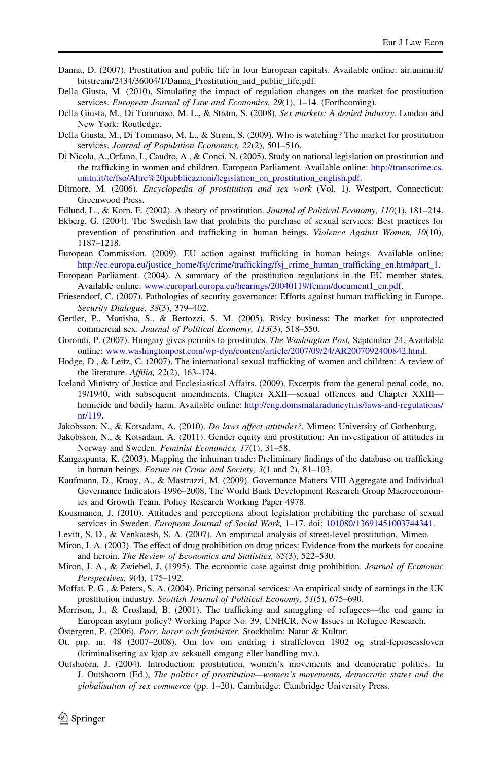- <span id="page-19-0"></span>Danna, D. (2007). Prostitution and public life in four European capitals. Available online: air.unimi.it/ bitstream/2434/36004/1/Danna\_Prostitution\_and\_public\_life.pdf.
- Della Giusta, M. (2010). Simulating the impact of regulation changes on the market for prostitution services. European Journal of Law and Economics, 29(1), 1–14. (Forthcoming).
- Della Giusta, M., Di Tommaso, M. L., & Strøm, S. (2008). Sex markets: A denied industry. London and New York: Routledge.
- Della Giusta, M., Di Tommaso, M. L., & Strøm, S. (2009). Who is watching? The market for prostitution services. Journal of Population Economics, 22(2), 501-516.
- Di Nicola, A.,Orfano, I., Caudro, A., & Conci, N. (2005). Study on national legislation on prostitution and the trafficking in women and children. European Parliament. Available online: [http://transcrime.cs.](http://transcrime.cs.unitn.it/tc/fso/Altre%20pubblicazioni/legislation_on_prostitution_english.pdf) [unitn.it/tc/fso/Altre%20pubblicazioni/legislation\\_on\\_prostitution\\_english.pdf](http://transcrime.cs.unitn.it/tc/fso/Altre%20pubblicazioni/legislation_on_prostitution_english.pdf).
- Ditmore, M. (2006). *Encyclopedia of prostitution and sex work* (Vol. 1). Westport, Connecticut: Greenwood Press.
- Edlund, L., & Korn, E. (2002). A theory of prostitution. Journal of Political Economy, 110(1), 181–214.
- Ekberg, G. (2004). The Swedish law that prohibits the purchase of sexual services: Best practices for prevention of prostitution and trafficking in human beings. Violence Against Women, 10(10), 1187–1218.
- European Commission. (2009). EU action against trafficking in human beings. Available online: [http://ec.europa.eu/justice\\_home/fsj/crime/trafficking/fsj\\_crime\\_human\\_trafficking\\_en.htm#part\\_1.](http://ec.europa.eu/justice_home/fsj/crime/trafficking/fsj_crime_human_trafficking_en.htm#part_1)
- European Parliament. (2004). A summary of the prostitution regulations in the EU member states. Available online: [www.europarl.europa.eu/hearings/20040119/femm/document1\\_en.pdf](http://www.europarl.europa.eu/hearings/20040119/femm/document1_en.pdf).
- Friesendorf, C. (2007). Pathologies of security governance: Efforts against human trafficking in Europe. Security Dialogue, 38(3), 379–402.
- Gertler, P., Manisha, S., & Bertozzi, S. M. (2005). Risky business: The market for unprotected commercial sex. Journal of Political Economy, 113(3), 518–550.
- Gorondi, P. (2007). Hungary gives permits to prostitutes. The Washington Post, September 24. Available online: [www.washingtonpost.com/wp-dyn/content/article/2007/09/24/AR2007092400842.html](http://www.washingtonpost.com/wp-dyn/content/article/2007/09/24/AR2007092400842.html).
- Hodge, D., & Leitz, C. (2007). The international sexual trafficking of women and children: A review of the literature. Affilia, 22(2), 163–174.
- Iceland Ministry of Justice and Ecclesiastical Affairs. (2009). Excerpts from the general penal code, no. 19/1940, with subsequent amendments. Chapter XXII—sexual offences and Chapter XXIII homicide and bodily harm. Available online: [http://eng.domsmalaraduneyti.is/laws-and-regulations/](http://eng.domsmalaraduneyti.is/laws-and-regulations/nr/119) [nr/119.](http://eng.domsmalaraduneyti.is/laws-and-regulations/nr/119)
- Jakobsson, N., & Kotsadam, A. (2010). Do laws affect attitudes?. Mimeo: University of Gothenburg.
- Jakobsson, N., & Kotsadam, A. (2011). Gender equity and prostitution: An investigation of attitudes in Norway and Sweden. Feminist Economics, 17(1), 31–58.
- Kangaspunta, K. (2003). Mapping the inhuman trade: Preliminary findings of the database on trafficking in human beings. Forum on Crime and Society, 3(1 and 2), 81–103.
- Kaufmann, D., Kraay, A., & Mastruzzi, M. (2009). Governance Matters VIII Aggregate and Individual Governance Indicators 1996–2008. The World Bank Development Research Group Macroeconomics and Growth Team. Policy Research Working Paper 4978.
- Kousmanen, J. (2010). Attitudes and perceptions about legislation prohibiting the purchase of sexual services in Sweden. European Journal of Social Work, 1–17. doi: [101080/13691451003744341](http://101080/13691451003744341).
- Levitt, S. D., & Venkatesh, S. A. (2007). An empirical analysis of street-level prostitution. Mimeo.
- Miron, J. A. (2003). The effect of drug prohibition on drug prices: Evidence from the markets for cocaine and heroin. The Review of Economics and Statistics, 85(3), 522–530.
- Miron, J. A., & Zwiebel, J. (1995). The economic case against drug prohibition. Journal of Economic Perspectives, 9(4), 175–192.
- Moffat, P. G., & Peters, S. A. (2004). Pricing personal services: An empirical study of earnings in the UK prostitution industry. Scottish Journal of Political Economy, 51(5), 675–690.
- Morrison, J., & Crosland, B. (2001). The trafficking and smuggling of refugees—the end game in European asylum policy? Working Paper No. 39, UNHCR, New Issues in Refugee Research.
- Östergren, P. (2006). Porr, horor och feminister. Stockholm: Natur & Kultur.
- Ot. prp. nr. 48 (2007–2008). Om lov om endring i straffeloven 1902 og straf-feprosessloven (kriminalisering av kjøp av seksuell omgang eller handling mv.).
- Outshoorn, J. (2004). Introduction: prostitution, women's movements and democratic politics. In J. Outshoorn (Ed.), The politics of prostitution—women's movements, democratic states and the globalisation of sex commerce (pp. 1–20). Cambridge: Cambridge University Press.